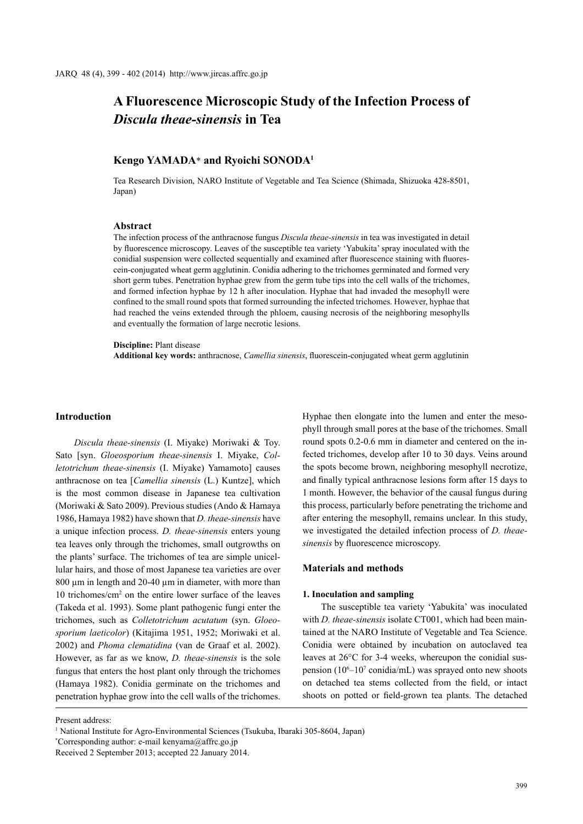# **A Fluorescence Microscopic Study of the Infection Process of**  *Discula theae-sinensis* **in Tea**

# **Kengo YAMADA**\* **and Ryoichi SONODA1**

Tea Research Division, NARO Institute of Vegetable and Tea Science (Shimada, Shizuoka 428-8501, Japan)

## **Abstract**

The infection process of the anthracnose fungus *Discula theae-sinensis* in tea was investigated in detail by fluorescence microscopy. Leaves of the susceptible tea variety 'Yabukita' spray inoculated with the conidial suspension were collected sequentially and examined after fluorescence staining with fluorescein-conjugated wheat germ agglutinin. Conidia adhering to the trichomes germinated and formed very short germ tubes. Penetration hyphae grew from the germ tube tips into the cell walls of the trichomes, and formed infection hyphae by 12 h after inoculation. Hyphae that had invaded the mesophyll were confined to the small round spots that formed surrounding the infected trichomes. However, hyphae that had reached the veins extended through the phloem, causing necrosis of the neighboring mesophylls and eventually the formation of large necrotic lesions.

#### **Discipline:** Plant disease

**Additional key words:** anthracnose, *Camellia sinensis*, fluorescein-conjugated wheat germ agglutinin

### **Introduction**

*Discula theae-sinensis* (I. Miyake) Moriwaki & Toy. Sato [syn. *Gloeosporium theae-sinensis* I. Miyake, *Colletotrichum theae-sinensis* (I. Miyake) Yamamoto] causes anthracnose on tea [*Camellia sinensis* (L.) Kuntze], which is the most common disease in Japanese tea cultivation (Moriwaki & Sato 2009). Previous studies (Ando & Hamaya 1986, Hamaya 1982) have shown that *D. theae-sinensis* have a unique infection process. *D. theae-sinensis* enters young tea leaves only through the trichomes, small outgrowths on the plants' surface. The trichomes of tea are simple unicellular hairs, and those of most Japanese tea varieties are over 800  $\mu$ m in length and 20-40  $\mu$ m in diameter, with more than 10 trichomes/cm2 on the entire lower surface of the leaves (Takeda et al. 1993). Some plant pathogenic fungi enter the trichomes, such as *Colletotrichum acutatum* (syn. *Gloeosporium laeticolor*) (Kitajima 1951, 1952; Moriwaki et al. 2002) and *Phoma clematidina* (van de Graaf et al. 2002). However, as far as we know, *D. theae-sinensis* is the sole fungus that enters the host plant only through the trichomes (Hamaya 1982). Conidia germinate on the trichomes and penetration hyphae grow into the cell walls of the trichomes.

Hyphae then elongate into the lumen and enter the mesophyll through small pores at the base of the trichomes. Small round spots 0.2-0.6 mm in diameter and centered on the infected trichomes, develop after 10 to 30 days. Veins around the spots become brown, neighboring mesophyll necrotize, and finally typical anthracnose lesions form after 15 days to 1 month. However, the behavior of the causal fungus during this process, particularly before penetrating the trichome and after entering the mesophyll, remains unclear. In this study, we investigated the detailed infection process of *D. theaesinensis* by fluorescence microscopy.

## **Materials and methods**

#### **1. Inoculation and sampling**

The susceptible tea variety 'Yabukita' was inoculated with *D. theae-sinensis* isolate CT001, which had been maintained at the NARO Institute of Vegetable and Tea Science. Conidia were obtained by incubation on autoclaved tea leaves at 26°C for 3-4 weeks, whereupon the conidial suspension (10<sup>6</sup>–10<sup>7</sup> conidia/mL) was sprayed onto new shoots on detached tea stems collected from the field, or intact shoots on potted or field-grown tea plants. The detached

Present address:

<sup>&</sup>lt;sup>1</sup> National Institute for Agro-Environmental Sciences (Tsukuba, Ibaraki 305-8604, Japan)

<sup>\*</sup> Corresponding author: e-mail kenyama@affrc.go.jp

Received 2 September 2013; accepted 22 January 2014.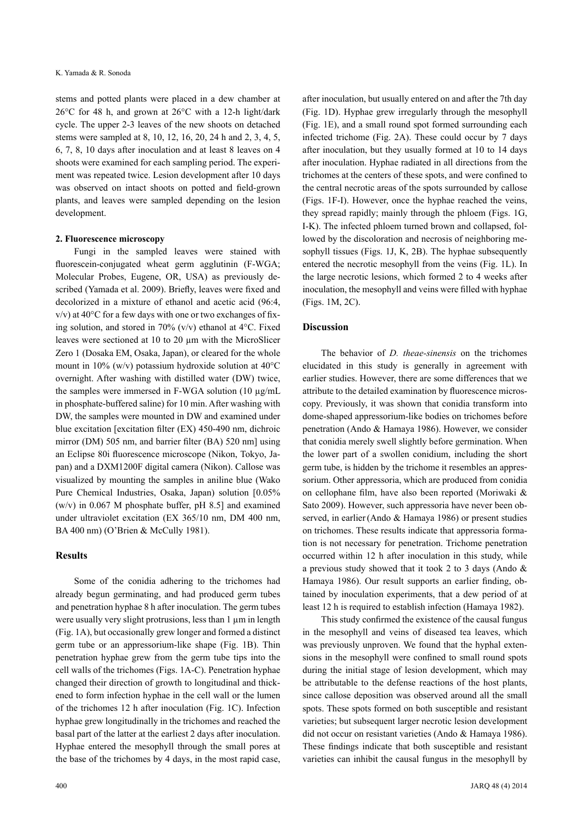stems and potted plants were placed in a dew chamber at 26°C for 48 h, and grown at 26°C with a 12-h light/dark cycle. The upper 2-3 leaves of the new shoots on detached stems were sampled at 8, 10, 12, 16, 20, 24 h and 2, 3, 4, 5, 6, 7, 8, 10 days after inoculation and at least 8 leaves on 4 shoots were examined for each sampling period. The experiment was repeated twice. Lesion development after 10 days was observed on intact shoots on potted and field-grown plants, and leaves were sampled depending on the lesion development.

#### **2. Fluorescence microscopy**

Fungi in the sampled leaves were stained with fluorescein-conjugated wheat germ agglutinin (F-WGA; Molecular Probes, Eugene, OR, USA) as previously described (Yamada et al. 2009). Briefly, leaves were fixed and decolorized in a mixture of ethanol and acetic acid (96:4,  $v/v$ ) at 40 $\degree$ C for a few days with one or two exchanges of fixing solution, and stored in 70% (v/v) ethanol at  $4^{\circ}$ C. Fixed leaves were sectioned at 10 to 20 µm with the MicroSlicer Zero 1 (Dosaka EM, Osaka, Japan), or cleared for the whole mount in 10% (w/v) potassium hydroxide solution at 40°C overnight. After washing with distilled water (DW) twice, the samples were immersed in F-WGA solution (10 µg/mL in phosphate-buffered saline) for 10 min. After washing with DW, the samples were mounted in DW and examined under blue excitation [excitation filter (EX) 450-490 nm, dichroic mirror (DM) 505 nm, and barrier filter (BA) 520 nm] using an Eclipse 80i fluorescence microscope (Nikon, Tokyo, Japan) and a DXM1200F digital camera (Nikon). Callose was visualized by mounting the samples in aniline blue (Wako Pure Chemical Industries, Osaka, Japan) solution [0.05% (w/v) in 0.067 M phosphate buffer, pH 8.5] and examined under ultraviolet excitation (EX 365/10 nm, DM 400 nm, BA 400 nm) (O'Brien & McCully 1981).

# **Results**

Some of the conidia adhering to the trichomes had already begun germinating, and had produced germ tubes and penetration hyphae 8 h after inoculation. The germ tubes were usually very slight protrusions, less than  $1 \mu m$  in length (Fig. 1A), but occasionally grew longer and formed a distinct germ tube or an appressorium-like shape (Fig. 1B). Thin penetration hyphae grew from the germ tube tips into the cell walls of the trichomes (Figs. 1A-C). Penetration hyphae changed their direction of growth to longitudinal and thickened to form infection hyphae in the cell wall or the lumen of the trichomes 12 h after inoculation (Fig. 1C). Infection hyphae grew longitudinally in the trichomes and reached the basal part of the latter at the earliest 2 days after inoculation. Hyphae entered the mesophyll through the small pores at the base of the trichomes by 4 days, in the most rapid case,

after inoculation, but usually entered on and after the 7th day (Fig. 1D). Hyphae grew irregularly through the mesophyll (Fig. 1E), and a small round spot formed surrounding each infected trichome (Fig. 2A). These could occur by 7 days after inoculation, but they usually formed at 10 to 14 days after inoculation. Hyphae radiated in all directions from the trichomes at the centers of these spots, and were confined to the central necrotic areas of the spots surrounded by callose (Figs. 1F-I). However, once the hyphae reached the veins, they spread rapidly; mainly through the phloem (Figs. 1G, I-K). The infected phloem turned brown and collapsed, followed by the discoloration and necrosis of neighboring mesophyll tissues (Figs. 1J, K, 2B). The hyphae subsequently entered the necrotic mesophyll from the veins (Fig. 1L). In the large necrotic lesions, which formed 2 to 4 weeks after inoculation, the mesophyll and veins were filled with hyphae (Figs. 1M, 2C).

# **Discussion**

The behavior of *D. theae-sinensis* on the trichomes elucidated in this study is generally in agreement with earlier studies. However, there are some differences that we attribute to the detailed examination by fluorescence microscopy. Previously, it was shown that conidia transform into dome-shaped appressorium-like bodies on trichomes before penetration (Ando & Hamaya 1986). However, we consider that conidia merely swell slightly before germination. When the lower part of a swollen conidium, including the short germ tube, is hidden by the trichome it resembles an appressorium. Other appressoria, which are produced from conidia on cellophane film, have also been reported (Moriwaki & Sato 2009). However, such appressoria have never been observed, in earlier(Ando & Hamaya 1986) or present studies on trichomes. These results indicate that appressoria formation is not necessary for penetration. Trichome penetration occurred within 12 h after inoculation in this study, while a previous study showed that it took 2 to 3 days (Ando & Hamaya 1986). Our result supports an earlier finding, obtained by inoculation experiments, that a dew period of at least 12 h is required to establish infection (Hamaya 1982).

This study confirmed the existence of the causal fungus in the mesophyll and veins of diseased tea leaves, which was previously unproven. We found that the hyphal extensions in the mesophyll were confined to small round spots during the initial stage of lesion development, which may be attributable to the defense reactions of the host plants, since callose deposition was observed around all the small spots. These spots formed on both susceptible and resistant varieties; but subsequent larger necrotic lesion development did not occur on resistant varieties (Ando & Hamaya 1986). These findings indicate that both susceptible and resistant varieties can inhibit the causal fungus in the mesophyll by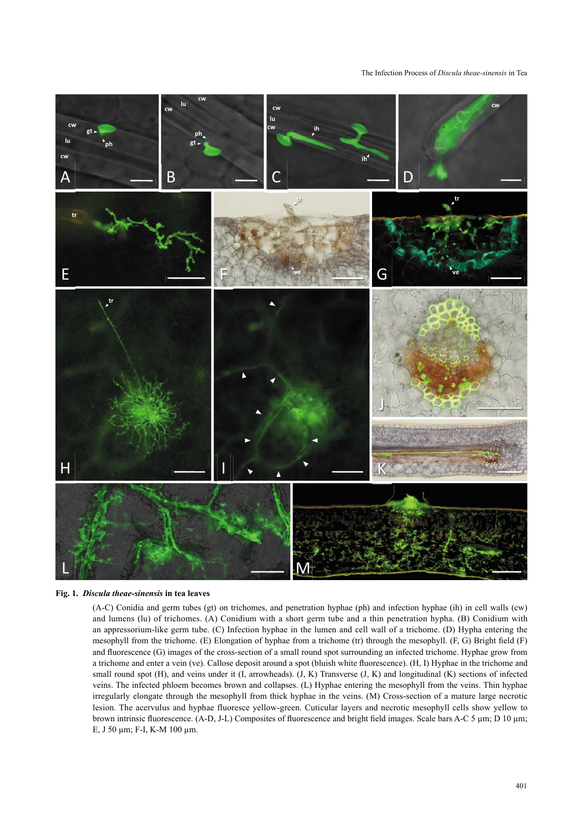#### The Infection Process of *Discula theae-sinensis* in Tea



#### **Fig. 1.** *Discula theae-sinensis* **in tea leaves**

(A-C) Conidia and germ tubes (gt) on trichomes, and penetration hyphae (ph) and infection hyphae (ih) in cell walls (cw) and lumens (lu) of trichomes. (A) Conidium with a short germ tube and a thin penetration hypha. (B) Conidium with an appressorium-like germ tube. (C) Infection hyphae in the lumen and cell wall of a trichome. (D) Hypha entering the mesophyll from the trichome. (E) Elongation of hyphae from a trichome (tr) through the mesophyll. (F, G) Bright field (F) and fluorescence (G) images of the cross-section of a small round spot surrounding an infected trichome. Hyphae grow from a trichome and enter a vein (ve). Callose deposit around a spot (bluish white fluorescence). (H, I) Hyphae in the trichome and small round spot (H), and veins under it (I, arrowheads). (J, K) Transverse (J, K) and longitudinal (K) sections of infected veins. The infected phloem becomes brown and collapses. (L) Hyphae entering the mesophyll from the veins. Thin hyphae irregularly elongate through the mesophyll from thick hyphae in the veins. (M) Cross-section of a mature large necrotic lesion. The acervulus and hyphae fluoresce yellow-green. Cuticular layers and necrotic mesophyll cells show yellow to brown intrinsic fluorescence. (A-D, J-L) Composites of fluorescence and bright field images. Scale bars A-C 5 µm; D 10 µm; E, J 50 µm; F-I, K-M 100 µm.